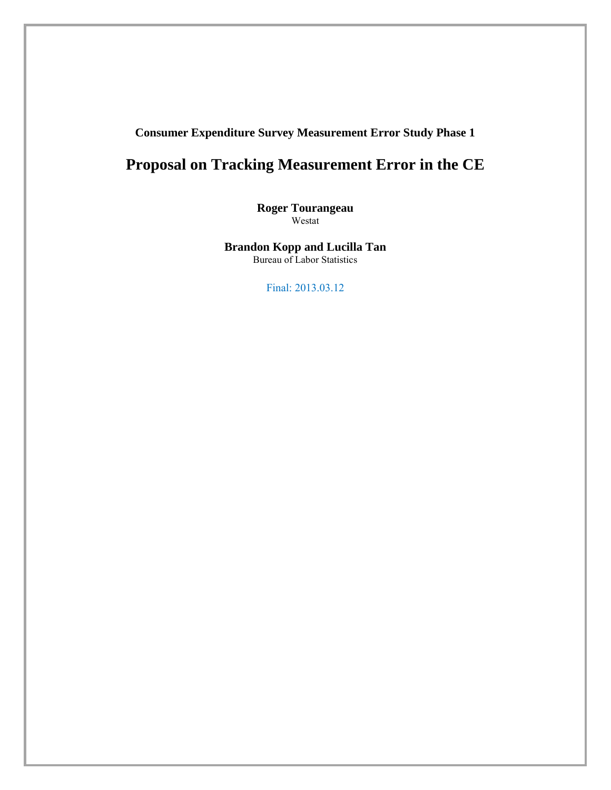## **Consumer Expenditure Survey Measurement Error Study Phase 1**

# **Proposal on Tracking Measurement Error in the CE**

**Roger Tourangeau**  Westat

**Brandon Kopp and Lucilla Tan** Bureau of Labor Statistics

Final: 2013.03.12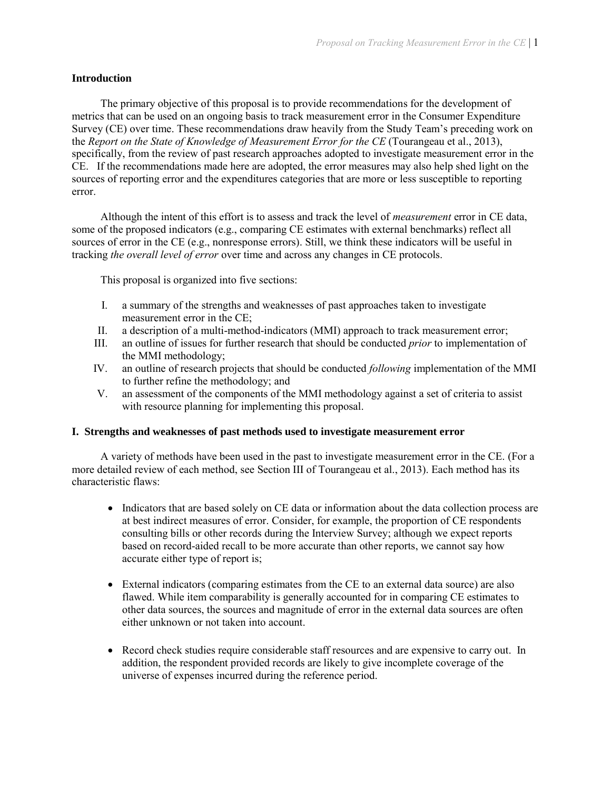#### **Introduction**

The primary objective of this proposal is to provide recommendations for the development of metrics that can be used on an ongoing basis to track measurement error in the Consumer Expenditure Survey (CE) over time. These recommendations draw heavily from the Study Team's preceding work on the *Report on the State of Knowledge of Measurement Error for the CE* (Tourangeau et al., 2013), specifically, from the review of past research approaches adopted to investigate measurement error in the CE. If the recommendations made here are adopted, the error measures may also help shed light on the sources of reporting error and the expenditures categories that are more or less susceptible to reporting error.

Although the intent of this effort is to assess and track the level of *measurement* error in CE data, some of the proposed indicators (e.g., comparing CE estimates with external benchmarks) reflect all sources of error in the CE (e.g., nonresponse errors). Still, we think these indicators will be useful in tracking *the overall level of error* over time and across any changes in CE protocols.

This proposal is organized into five sections:

- I. a summary of the strengths and weaknesses of past approaches taken to investigate measurement error in the CE;
- II. a description of a multi-method-indicators (MMI) approach to track measurement error;
- III. an outline of issues for further research that should be conducted *prior* to implementation of the MMI methodology;
- IV. an outline of research projects that should be conducted *following* implementation of the MMI to further refine the methodology; and
- V. an assessment of the components of the MMI methodology against a set of criteria to assist with resource planning for implementing this proposal.

#### **I. Strengths and weaknesses of past methods used to investigate measurement error**

A variety of methods have been used in the past to investigate measurement error in the CE. (For a more detailed review of each method, see Section III of Tourangeau et al., 2013). Each method has its characteristic flaws:

- Indicators that are based solely on CE data or information about the data collection process are at best indirect measures of error. Consider, for example, the proportion of CE respondents consulting bills or other records during the Interview Survey; although we expect reports based on record-aided recall to be more accurate than other reports, we cannot say how accurate either type of report is;
- External indicators (comparing estimates from the CE to an external data source) are also flawed. While item comparability is generally accounted for in comparing CE estimates to other data sources, the sources and magnitude of error in the external data sources are often either unknown or not taken into account.
- Record check studies require considerable staff resources and are expensive to carry out. In addition, the respondent provided records are likely to give incomplete coverage of the universe of expenses incurred during the reference period.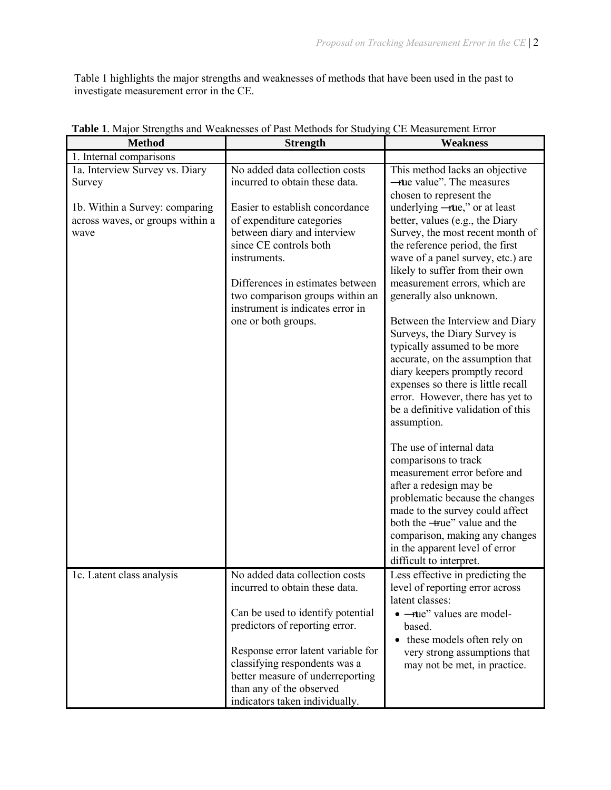Table 1 highlights the major strengths and weaknesses of methods that have been used in the past to investigate measurement error in the CE.

| <b>Method</b>                                                              | <b>Strength</b>                                                                                                                                                                                                                                                                                                  | <b>Weakness</b>                                                                                                                                                                                                                                                                                                                                                                                                                                                                                                                                                                               |
|----------------------------------------------------------------------------|------------------------------------------------------------------------------------------------------------------------------------------------------------------------------------------------------------------------------------------------------------------------------------------------------------------|-----------------------------------------------------------------------------------------------------------------------------------------------------------------------------------------------------------------------------------------------------------------------------------------------------------------------------------------------------------------------------------------------------------------------------------------------------------------------------------------------------------------------------------------------------------------------------------------------|
| 1. Internal comparisons                                                    |                                                                                                                                                                                                                                                                                                                  |                                                                                                                                                                                                                                                                                                                                                                                                                                                                                                                                                                                               |
| 1a. Interview Survey vs. Diary<br>Survey                                   | No added data collection costs<br>incurred to obtain these data.                                                                                                                                                                                                                                                 | This method lacks an objective<br><b>-tue value</b> ". The measures<br>chosen to represent the                                                                                                                                                                                                                                                                                                                                                                                                                                                                                                |
| 1b. Within a Survey: comparing<br>across waves, or groups within a<br>wave | Easier to establish concordance<br>of expenditure categories<br>between diary and interview<br>since CE controls both<br>instruments.<br>Differences in estimates between<br>two comparison groups within an<br>instrument is indicates error in<br>one or both groups.                                          | underlying $-\text{true}$ ," or at least<br>better, values (e.g., the Diary<br>Survey, the most recent month of<br>the reference period, the first<br>wave of a panel survey, etc.) are<br>likely to suffer from their own<br>measurement errors, which are<br>generally also unknown.<br>Between the Interview and Diary<br>Surveys, the Diary Survey is<br>typically assumed to be more<br>accurate, on the assumption that<br>diary keepers promptly record<br>expenses so there is little recall<br>error. However, there has yet to<br>be a definitive validation of this<br>assumption. |
|                                                                            |                                                                                                                                                                                                                                                                                                                  | The use of internal data<br>comparisons to track<br>measurement error before and<br>after a redesign may be<br>problematic because the changes<br>made to the survey could affect<br>both the -true" value and the<br>comparison, making any changes<br>in the apparent level of error<br>difficult to interpret.                                                                                                                                                                                                                                                                             |
| 1c. Latent class analysis                                                  | No added data collection costs<br>incurred to obtain these data.<br>Can be used to identify potential<br>predictors of reporting error.<br>Response error latent variable for<br>classifying respondents was a<br>better measure of underreporting<br>than any of the observed<br>indicators taken individually. | Less effective in predicting the<br>level of reporting error across<br>latent classes:<br>• - tue" values are model-<br>based.<br>these models often rely on<br>$\bullet$<br>very strong assumptions that<br>may not be met, in practice.                                                                                                                                                                                                                                                                                                                                                     |

## **Table 1**. Major Strengths and Weaknesses of Past Methods for Studying CE Measurement Error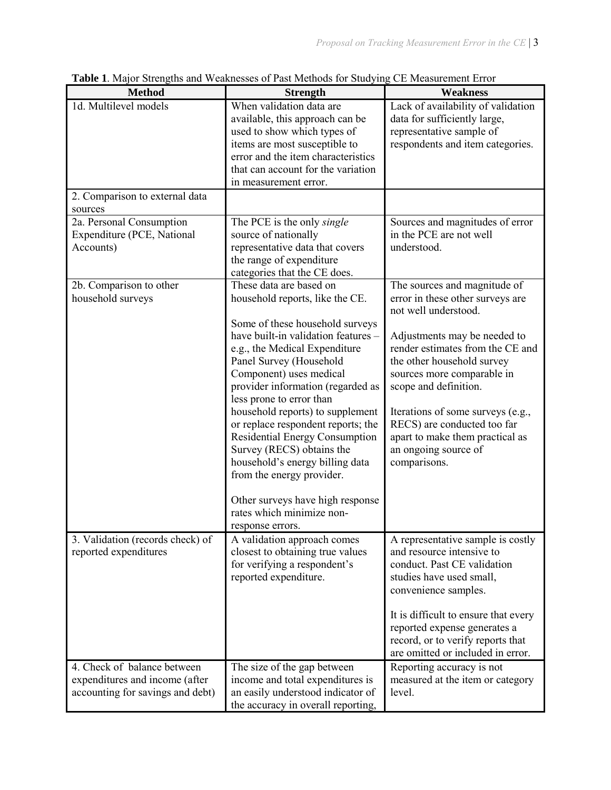| <b>Method</b>                                                                                     | <b>Strength</b>                                                                                                                                                                                                                                                                                                                                                                                                                                                                                                                                                                                   | <b>Weakness</b>                                                                                                                                                                                                                                                                                                                                                                                  |  |  |
|---------------------------------------------------------------------------------------------------|---------------------------------------------------------------------------------------------------------------------------------------------------------------------------------------------------------------------------------------------------------------------------------------------------------------------------------------------------------------------------------------------------------------------------------------------------------------------------------------------------------------------------------------------------------------------------------------------------|--------------------------------------------------------------------------------------------------------------------------------------------------------------------------------------------------------------------------------------------------------------------------------------------------------------------------------------------------------------------------------------------------|--|--|
| 1d. Multilevel models                                                                             | When validation data are<br>available, this approach can be<br>used to show which types of<br>items are most susceptible to<br>error and the item characteristics<br>that can account for the variation<br>in measurement error.                                                                                                                                                                                                                                                                                                                                                                  | Lack of availability of validation<br>data for sufficiently large,<br>representative sample of<br>respondents and item categories.                                                                                                                                                                                                                                                               |  |  |
| 2. Comparison to external data<br>sources                                                         |                                                                                                                                                                                                                                                                                                                                                                                                                                                                                                                                                                                                   |                                                                                                                                                                                                                                                                                                                                                                                                  |  |  |
| 2a. Personal Consumption<br>Expenditure (PCE, National<br>Accounts)                               | The PCE is the only <i>single</i><br>source of nationally<br>representative data that covers<br>the range of expenditure<br>categories that the CE does.                                                                                                                                                                                                                                                                                                                                                                                                                                          | Sources and magnitudes of error<br>in the PCE are not well<br>understood.                                                                                                                                                                                                                                                                                                                        |  |  |
| 2b. Comparison to other<br>household surveys                                                      | These data are based on<br>household reports, like the CE.<br>Some of these household surveys<br>have built-in validation features -<br>e.g., the Medical Expenditure<br>Panel Survey (Household<br>Component) uses medical<br>provider information (regarded as<br>less prone to error than<br>household reports) to supplement<br>or replace respondent reports; the<br><b>Residential Energy Consumption</b><br>Survey (RECS) obtains the<br>household's energy billing data<br>from the energy provider.<br>Other surveys have high response<br>rates which minimize non-<br>response errors. | The sources and magnitude of<br>error in these other surveys are<br>not well understood.<br>Adjustments may be needed to<br>render estimates from the CE and<br>the other household survey<br>sources more comparable in<br>scope and definition.<br>Iterations of some surveys (e.g.,<br>RECS) are conducted too far<br>apart to make them practical as<br>an ongoing source of<br>comparisons. |  |  |
| 3. Validation (records check) of<br>reported expenditures                                         | A validation approach comes<br>closest to obtaining true values<br>for verifying a respondent's<br>reported expenditure.                                                                                                                                                                                                                                                                                                                                                                                                                                                                          | A representative sample is costly<br>and resource intensive to<br>conduct. Past CE validation<br>studies have used small,<br>convenience samples.<br>It is difficult to ensure that every<br>reported expense generates a<br>record, or to verify reports that<br>are omitted or included in error.                                                                                              |  |  |
| 4. Check of balance between<br>expenditures and income (after<br>accounting for savings and debt) | The size of the gap between<br>income and total expenditures is<br>an easily understood indicator of<br>the accuracy in overall reporting,                                                                                                                                                                                                                                                                                                                                                                                                                                                        | Reporting accuracy is not<br>measured at the item or category<br>level.                                                                                                                                                                                                                                                                                                                          |  |  |

**Table 1**. Major Strengths and Weaknesses of Past Methods for Studying CE Measurement Error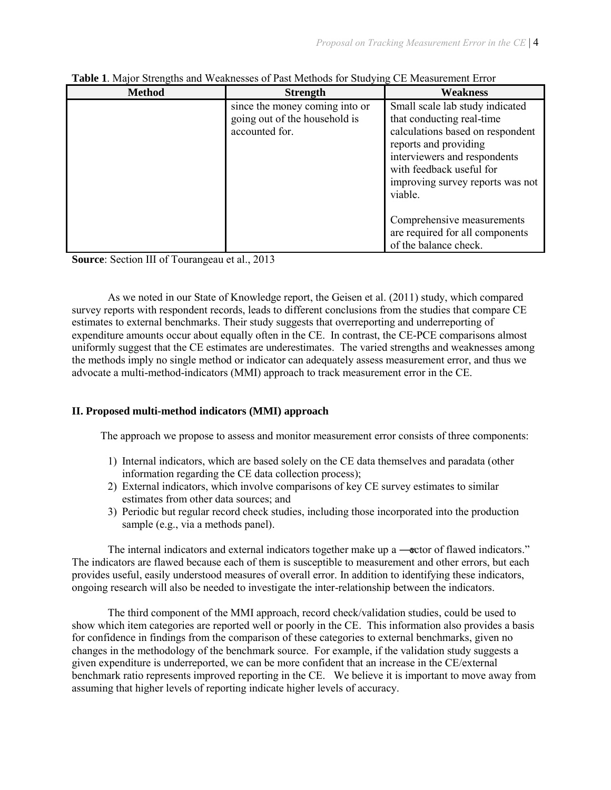| <b>Method</b> | <b>Strength</b>                                                                   | Weakness                                                                                                                                                                                                                             |  |
|---------------|-----------------------------------------------------------------------------------|--------------------------------------------------------------------------------------------------------------------------------------------------------------------------------------------------------------------------------------|--|
|               | since the money coming into or<br>going out of the household is<br>accounted for. | Small scale lab study indicated<br>that conducting real-time<br>calculations based on respondent<br>reports and providing<br>interviewers and respondents<br>with feedback useful for<br>improving survey reports was not<br>viable. |  |
|               |                                                                                   | Comprehensive measurements<br>are required for all components<br>of the balance check.                                                                                                                                               |  |

|  |  |  | Table 1. Major Strengths and Weaknesses of Past Methods for Studying CE Measurement Error |  |
|--|--|--|-------------------------------------------------------------------------------------------|--|
|  |  |  |                                                                                           |  |

**Source**: Section III of Tourangeau et al., 2013

As we noted in our State of Knowledge report, the Geisen et al. (2011) study, which compared survey reports with respondent records, leads to different conclusions from the studies that compare CE estimates to external benchmarks. Their study suggests that overreporting and underreporting of expenditure amounts occur about equally often in the CE. In contrast, the CE-PCE comparisons almost uniformly suggest that the CE estimates are underestimates. The varied strengths and weaknesses among the methods imply no single method or indicator can adequately assess measurement error, and thus we advocate a multi-method-indicators (MMI) approach to track measurement error in the CE.

## **II. Proposed multi-method indicators (MMI) approach**

The approach we propose to assess and monitor measurement error consists of three components:

- 1) Internal indicators, which are based solely on the CE data themselves and paradata (other information regarding the CE data collection process);
- 2) External indicators, which involve comparisons of key CE survey estimates to similar estimates from other data sources; and
- 3) Periodic but regular record check studies, including those incorporated into the production sample (e.g., via a methods panel).

The internal indicators and external indicators together make up a —vector of flawed indicators." The indicators are flawed because each of them is susceptible to measurement and other errors, but each provides useful, easily understood measures of overall error. In addition to identifying these indicators, ongoing research will also be needed to investigate the inter-relationship between the indicators.

The third component of the MMI approach, record check/validation studies, could be used to show which item categories are reported well or poorly in the CE. This information also provides a basis for confidence in findings from the comparison of these categories to external benchmarks, given no changes in the methodology of the benchmark source. For example, if the validation study suggests a given expenditure is underreported, we can be more confident that an increase in the CE/external benchmark ratio represents improved reporting in the CE. We believe it is important to move away from assuming that higher levels of reporting indicate higher levels of accuracy.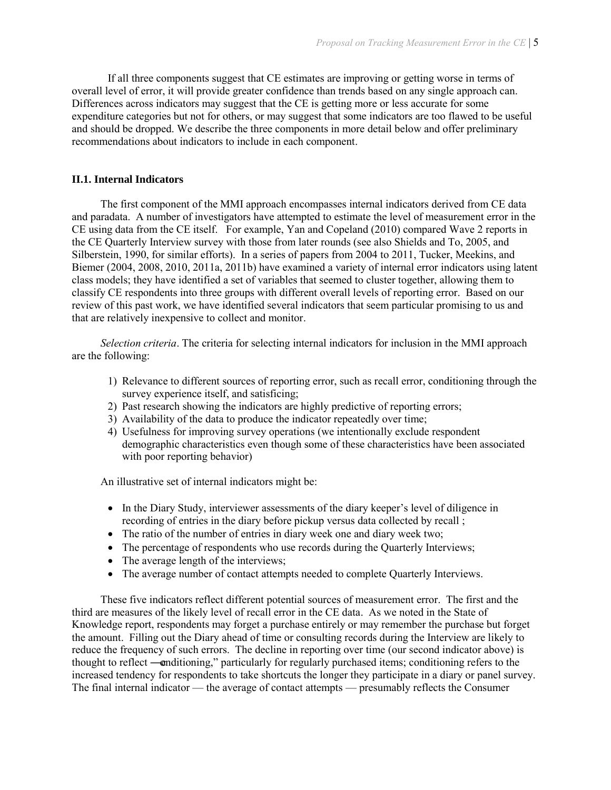If all three components suggest that CE estimates are improving or getting worse in terms of overall level of error, it will provide greater confidence than trends based on any single approach can. Differences across indicators may suggest that the CE is getting more or less accurate for some expenditure categories but not for others, or may suggest that some indicators are too flawed to be useful and should be dropped. We describe the three components in more detail below and offer preliminary recommendations about indicators to include in each component.

#### **II.1. Internal Indicators**

The first component of the MMI approach encompasses internal indicators derived from CE data and paradata. A number of investigators have attempted to estimate the level of measurement error in the CE using data from the CE itself. For example, Yan and Copeland (2010) compared Wave 2 reports in the CE Quarterly Interview survey with those from later rounds (see also Shields and To, 2005, and Silberstein, 1990, for similar efforts). In a series of papers from 2004 to 2011, Tucker, Meekins, and Biemer (2004, 2008, 2010, 2011a, 2011b) have examined a variety of internal error indicators using latent class models; they have identified a set of variables that seemed to cluster together, allowing them to classify CE respondents into three groups with different overall levels of reporting error. Based on our review of this past work, we have identified several indicators that seem particular promising to us and that are relatively inexpensive to collect and monitor.

*Selection criteria*. The criteria for selecting internal indicators for inclusion in the MMI approach are the following:

- 1) Relevance to different sources of reporting error, such as recall error, conditioning through the survey experience itself, and satisficing;
- 2) Past research showing the indicators are highly predictive of reporting errors;
- 3) Availability of the data to produce the indicator repeatedly over time;
- 4) Usefulness for improving survey operations (we intentionally exclude respondent demographic characteristics even though some of these characteristics have been associated with poor reporting behavior)

An illustrative set of internal indicators might be:

- In the Diary Study, interviewer assessments of the diary keeper's level of diligence in recording of entries in the diary before pickup versus data collected by recall ;
- The ratio of the number of entries in diary week one and diary week two:
- The percentage of respondents who use records during the Quarterly Interviews;
- The average length of the interviews;
- The average number of contact attempts needed to complete Quarterly Interviews.

These five indicators reflect different potential sources of measurement error. The first and the third are measures of the likely level of recall error in the CE data. As we noted in the State of Knowledge report, respondents may forget a purchase entirely or may remember the purchase but forget the amount. Filling out the Diary ahead of time or consulting records during the Interview are likely to reduce the frequency of such errors. The decline in reporting over time (our second indicator above) is thought to reflect —conditioning," particularly for regularly purchased items; conditioning refers to the increased tendency for respondents to take shortcuts the longer they participate in a diary or panel survey. The final internal indicator — the average of contact attempts — presumably reflects the Consumer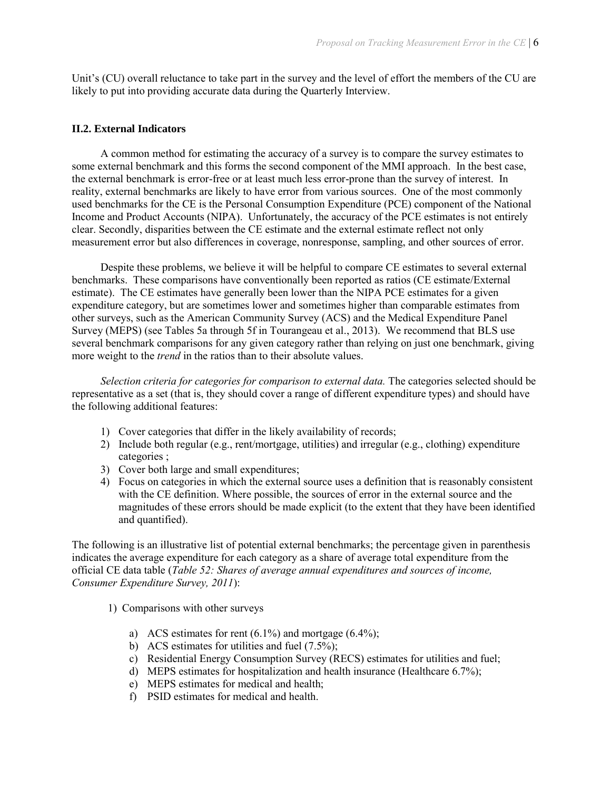Unit's (CU) overall reluctance to take part in the survey and the level of effort the members of the CU are likely to put into providing accurate data during the Quarterly Interview.

#### **II.2. External Indicators**

A common method for estimating the accuracy of a survey is to compare the survey estimates to some external benchmark and this forms the second component of the MMI approach. In the best case, the external benchmark is error-free or at least much less error-prone than the survey of interest. In reality, external benchmarks are likely to have error from various sources. One of the most commonly used benchmarks for the CE is the Personal Consumption Expenditure (PCE) component of the National Income and Product Accounts (NIPA). Unfortunately, the accuracy of the PCE estimates is not entirely clear. Secondly, disparities between the CE estimate and the external estimate reflect not only measurement error but also differences in coverage, nonresponse, sampling, and other sources of error.

Despite these problems, we believe it will be helpful to compare CE estimates to several external benchmarks. These comparisons have conventionally been reported as ratios (CE estimate/External estimate). The CE estimates have generally been lower than the NIPA PCE estimates for a given expenditure category, but are sometimes lower and sometimes higher than comparable estimates from other surveys, such as the American Community Survey (ACS) and the Medical Expenditure Panel Survey (MEPS) (see Tables 5a through 5f in Tourangeau et al., 2013). We recommend that BLS use several benchmark comparisons for any given category rather than relying on just one benchmark, giving more weight to the *trend* in the ratios than to their absolute values.

*Selection criteria for categories for comparison to external data.* The categories selected should be representative as a set (that is, they should cover a range of different expenditure types) and should have the following additional features:

- 1) Cover categories that differ in the likely availability of records;
- 2) Include both regular (e.g., rent/mortgage, utilities) and irregular (e.g., clothing) expenditure categories ;
- 3) Cover both large and small expenditures;
- 4) Focus on categories in which the external source uses a definition that is reasonably consistent with the CE definition. Where possible, the sources of error in the external source and the magnitudes of these errors should be made explicit (to the extent that they have been identified and quantified).

The following is an illustrative list of potential external benchmarks; the percentage given in parenthesis indicates the average expenditure for each category as a share of average total expenditure from the official CE data table (*Table 52: Shares of average annual expenditures and sources of income, Consumer Expenditure Survey, 2011*):

- 1) Comparisons with other surveys
	- a) ACS estimates for rent  $(6.1\%)$  and mortgage  $(6.4\%)$ ;
	- b) ACS estimates for utilities and fuel (7.5%);
	- c) Residential Energy Consumption Survey (RECS) estimates for utilities and fuel;
	- d) MEPS estimates for hospitalization and health insurance (Healthcare 6.7%);
	- e) MEPS estimates for medical and health;
	- f) PSID estimates for medical and health.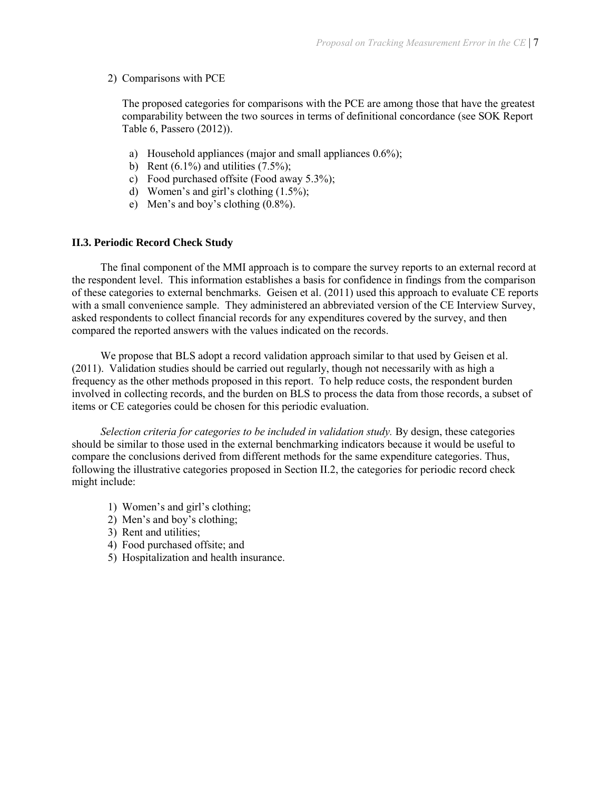### 2) Comparisons with PCE

The proposed categories for comparisons with the PCE are among those that have the greatest comparability between the two sources in terms of definitional concordance (see SOK Report Table 6, Passero (2012)).

- a) Household appliances (major and small appliances 0.6%);
- b) Rent  $(6.1\%)$  and utilities  $(7.5\%)$ ;
- c) Food purchased offsite (Food away 5.3%);
- d) Women's and girl's clothing (1.5%);
- e) Men's and boy's clothing (0.8%).

#### **II.3. Periodic Record Check Study**

The final component of the MMI approach is to compare the survey reports to an external record at the respondent level. This information establishes a basis for confidence in findings from the comparison of these categories to external benchmarks. Geisen et al. (2011) used this approach to evaluate CE reports with a small convenience sample. They administered an abbreviated version of the CE Interview Survey, asked respondents to collect financial records for any expenditures covered by the survey, and then compared the reported answers with the values indicated on the records.

We propose that BLS adopt a record validation approach similar to that used by Geisen et al. (2011). Validation studies should be carried out regularly, though not necessarily with as high a frequency as the other methods proposed in this report. To help reduce costs, the respondent burden involved in collecting records, and the burden on BLS to process the data from those records, a subset of items or CE categories could be chosen for this periodic evaluation.

*Selection criteria for categories to be included in validation study.* By design, these categories should be similar to those used in the external benchmarking indicators because it would be useful to compare the conclusions derived from different methods for the same expenditure categories. Thus, following the illustrative categories proposed in Section II.2, the categories for periodic record check might include:

- 1) Women's and girl's clothing;
- 2) Men's and boy's clothing;
- 3) Rent and utilities;
- 4) Food purchased offsite; and
- 5) Hospitalization and health insurance.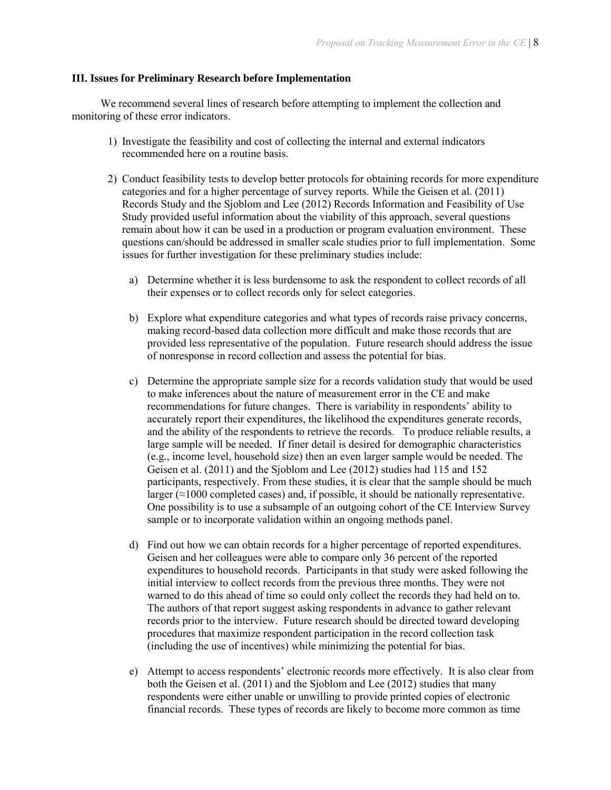#### **III. Issues for Preliminary Research before Implementation**

We recommend several lines of research before attempting to implement the collection and monitoring of these error indicators.

- 1) Investigate the feasibility and cost of collecting the internal and external indicators recommended here on a routine basis.
- 2) Conduct feasibility tests to develop better protocols for obtaining records for more expenditure categories and for a higher percentage of survey reports. While the Geisen et al. (2011) Records Study and the Sjoblom and Lee (2012) Records Information and Feasibility of Use Study provided useful information about the viability of this approach, several questions remain about how it can be used in a production or program evaluation environment. These questions can/should be addressed in smaller scale studies prior to full implementation. Some issues for further investigation for these preliminary studies include:
	- a) Determine whether it is less burdensome to ask the respondent to collect records of all their expenses or to collect records only for select categories.
	- b) Explore what expenditure categories and what types of records raise privacy concerns, making record-based data collection more difficult and make those records that are provided less representative of the population. Future research should address the issue of nonresponse in record collection and assess the potential for bias.
	- c) Determine the appropriate sample size for a records validation study that would be used to make inferences about the nature of measurement error in the CE and make recommendations for future changes. There is variability in respondents' ability to accurately report their expenditures, the likelihood the expenditures generate records, and the ability of the respondents to retrieve the records. To produce reliable results, a large sample will be needed. If finer detail is desired for demographic characteristics (e.g., income level, household size) then an even larger sample would be needed. The Geisen et al. (2011) and the Sjoblom and Lee (2012) studies had 115 and 152 participants, respectively. From these studies, it is clear that the sample should be much larger  $(\approx 1000$  completed cases) and, if possible, it should be nationally representative. One possibility is to use a subsample of an outgoing cohort of the CE Interview Survey sample or to incorporate validation within an ongoing methods panel.
	- d) Find out how we can obtain records for a higher percentage of reported expenditures. Geisen and her colleagues were able to compare only 36 percent of the reported expenditures to household records. Participants in that study were asked following the initial interview to collect records from the previous three months. They were not warned to do this ahead of time so could only collect the records they had held on to. The authors of that report suggest asking respondents in advance to gather relevant records prior to the interview. Future research should be directed toward developing procedures that maximize respondent participation in the record collection task (including the use of incentives) while minimizing the potential for bias.
	- e) Attempt to access respondents' electronic records more effectively. It is also clear from both the Geisen et al. (2011) and the Sjoblom and Lee (2012) studies that many respondents were either unable or unwilling to provide printed copies of electronic financial records. These types of records are likely to become more common as time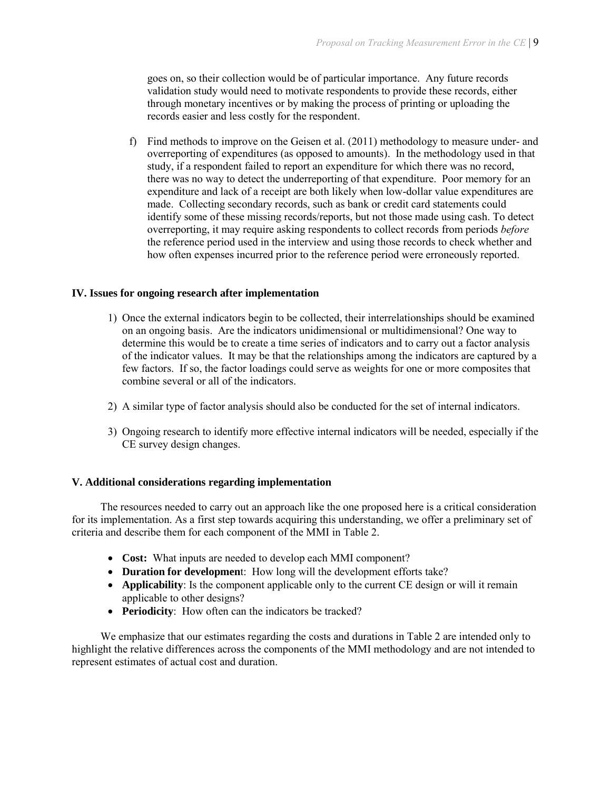goes on, so their collection would be of particular importance. Any future records validation study would need to motivate respondents to provide these records, either through monetary incentives or by making the process of printing or uploading the records easier and less costly for the respondent.

f) Find methods to improve on the Geisen et al. (2011) methodology to measure under- and overreporting of expenditures (as opposed to amounts). In the methodology used in that study, if a respondent failed to report an expenditure for which there was no record, there was no way to detect the underreporting of that expenditure. Poor memory for an expenditure and lack of a receipt are both likely when low-dollar value expenditures are made. Collecting secondary records, such as bank or credit card statements could identify some of these missing records/reports, but not those made using cash. To detect overreporting, it may require asking respondents to collect records from periods *before* the reference period used in the interview and using those records to check whether and how often expenses incurred prior to the reference period were erroneously reported.

## **IV. Issues for ongoing research after implementation**

- 1) Once the external indicators begin to be collected, their interrelationships should be examined on an ongoing basis. Are the indicators unidimensional or multidimensional? One way to determine this would be to create a time series of indicators and to carry out a factor analysis of the indicator values. It may be that the relationships among the indicators are captured by a few factors. If so, the factor loadings could serve as weights for one or more composites that combine several or all of the indicators.
- 2) A similar type of factor analysis should also be conducted for the set of internal indicators.
- 3) Ongoing research to identify more effective internal indicators will be needed, especially if the CE survey design changes.

## **V. Additional considerations regarding implementation**

The resources needed to carry out an approach like the one proposed here is a critical consideration for its implementation. As a first step towards acquiring this understanding, we offer a preliminary set of criteria and describe them for each component of the MMI in Table 2.

- **Cost:** What inputs are needed to develop each MMI component?
- **Duration for developmen**t: How long will the development efforts take?
- **Applicability**: Is the component applicable only to the current CE design or will it remain applicable to other designs?
- **Periodicity**: How often can the indicators be tracked?

We emphasize that our estimates regarding the costs and durations in Table 2 are intended only to highlight the relative differences across the components of the MMI methodology and are not intended to represent estimates of actual cost and duration.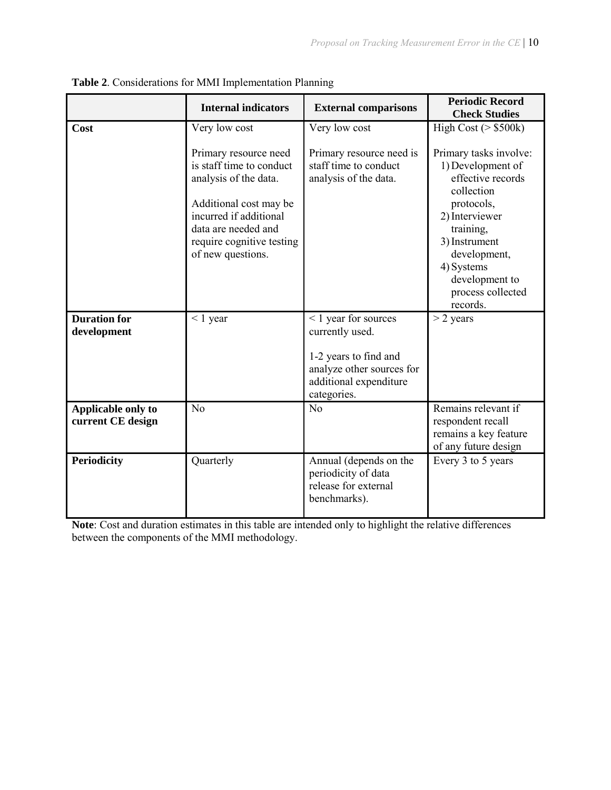|                                         | <b>Internal indicators</b>                                                                                                                                                                              | <b>External comparisons</b>                                                           | <b>Periodic Record</b><br><b>Check Studies</b>                                                                                                                                                                                |
|-----------------------------------------|---------------------------------------------------------------------------------------------------------------------------------------------------------------------------------------------------------|---------------------------------------------------------------------------------------|-------------------------------------------------------------------------------------------------------------------------------------------------------------------------------------------------------------------------------|
| Cost                                    | Very low cost                                                                                                                                                                                           | Very low cost                                                                         | High Cost ( $>$ \$500k)                                                                                                                                                                                                       |
|                                         | Primary resource need<br>is staff time to conduct<br>analysis of the data.<br>Additional cost may be<br>incurred if additional<br>data are needed and<br>require cognitive testing<br>of new questions. | Primary resource need is<br>staff time to conduct<br>analysis of the data.            | Primary tasks involve:<br>1) Development of<br>effective records<br>collection<br>protocols,<br>2) Interviewer<br>training,<br>3) Instrument<br>development,<br>4) Systems<br>development to<br>process collected<br>records. |
| <b>Duration for</b>                     | $\leq 1$ year                                                                                                                                                                                           | <1 year for sources                                                                   | $>$ 2 years                                                                                                                                                                                                                   |
| development                             |                                                                                                                                                                                                         | currently used.                                                                       |                                                                                                                                                                                                                               |
|                                         |                                                                                                                                                                                                         | 1-2 years to find and                                                                 |                                                                                                                                                                                                                               |
|                                         |                                                                                                                                                                                                         | analyze other sources for<br>additional expenditure                                   |                                                                                                                                                                                                                               |
|                                         |                                                                                                                                                                                                         | categories.                                                                           |                                                                                                                                                                                                                               |
| Applicable only to<br>current CE design | No                                                                                                                                                                                                      | No                                                                                    | Remains relevant if<br>respondent recall<br>remains a key feature<br>of any future design                                                                                                                                     |
| <b>Periodicity</b>                      | Quarterly                                                                                                                                                                                               | Annual (depends on the<br>periodicity of data<br>release for external<br>benchmarks). | Every 3 to 5 years                                                                                                                                                                                                            |

**Table 2**. Considerations for MMI Implementation Planning

**Note**: Cost and duration estimates in this table are intended only to highlight the relative differences between the components of the MMI methodology.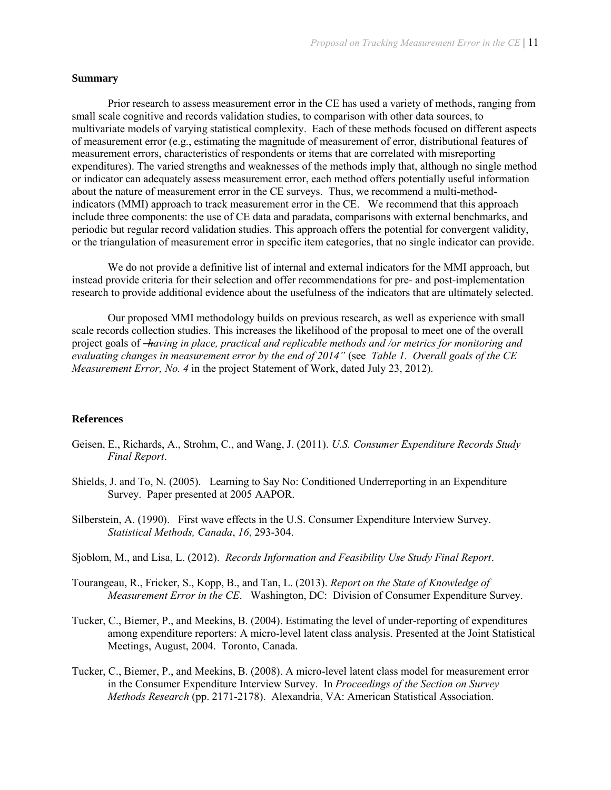#### **Summary**

Prior research to assess measurement error in the CE has used a variety of methods, ranging from small scale cognitive and records validation studies, to comparison with other data sources, to multivariate models of varying statistical complexity. Each of these methods focused on different aspects of measurement error (e.g., estimating the magnitude of measurement of error, distributional features of measurement errors, characteristics of respondents or items that are correlated with misreporting expenditures). The varied strengths and weaknesses of the methods imply that, although no single method or indicator can adequately assess measurement error, each method offers potentially useful information about the nature of measurement error in the CE surveys. Thus, we recommend a multi-methodindicators (MMI) approach to track measurement error in the CE. We recommend that this approach include three components: the use of CE data and paradata, comparisons with external benchmarks, and periodic but regular record validation studies. This approach offers the potential for convergent validity, or the triangulation of measurement error in specific item categories, that no single indicator can provide.

We do not provide a definitive list of internal and external indicators for the MMI approach, but instead provide criteria for their selection and offer recommendations for pre- and post-implementation research to provide additional evidence about the usefulness of the indicators that are ultimately selected.

Our proposed MMI methodology builds on previous research, as well as experience with small scale records collection studies. This increases the likelihood of the proposal to meet one of the overall project goals of ―*having in place, practical and replicable methods and /or metrics for monitoring and evaluating changes in measurement error by the end of 2014"* (see *Table 1. Overall goals of the CE Measurement Error, No. 4* in the project Statement of Work, dated July 23, 2012).

#### **References**

- Geisen, E., Richards, A., Strohm, C., and Wang, J. (2011). *U.S. Consumer Expenditure Records Study Final Report*.
- Shields, J. and To, N. (2005). Learning to Say No: Conditioned Underreporting in an Expenditure Survey. Paper presented at 2005 AAPOR.
- Silberstein, A. (1990). First wave effects in the U.S. Consumer Expenditure Interview Survey. *Statistical Methods, Canada*, *16*, 293-304.
- Sjoblom, M., and Lisa, L. (2012). *Records Information and Feasibility Use Study Final Report*.
- Tourangeau, R., Fricker, S., Kopp, B., and Tan, L. (2013). *Report on the State of Knowledge of Measurement Error in the CE*. Washington, DC: Division of Consumer Expenditure Survey.
- Tucker, C., Biemer, P., and Meekins, B. (2004). Estimating the level of under-reporting of expenditures among expenditure reporters: A micro-level latent class analysis. Presented at the Joint Statistical Meetings, August, 2004. Toronto, Canada.
- Tucker, C., Biemer, P., and Meekins, B. (2008). A micro-level latent class model for measurement error in the Consumer Expenditure Interview Survey. In *Proceedings of the Section on Survey Methods Research* (pp. 2171-2178). Alexandria, VA: American Statistical Association.